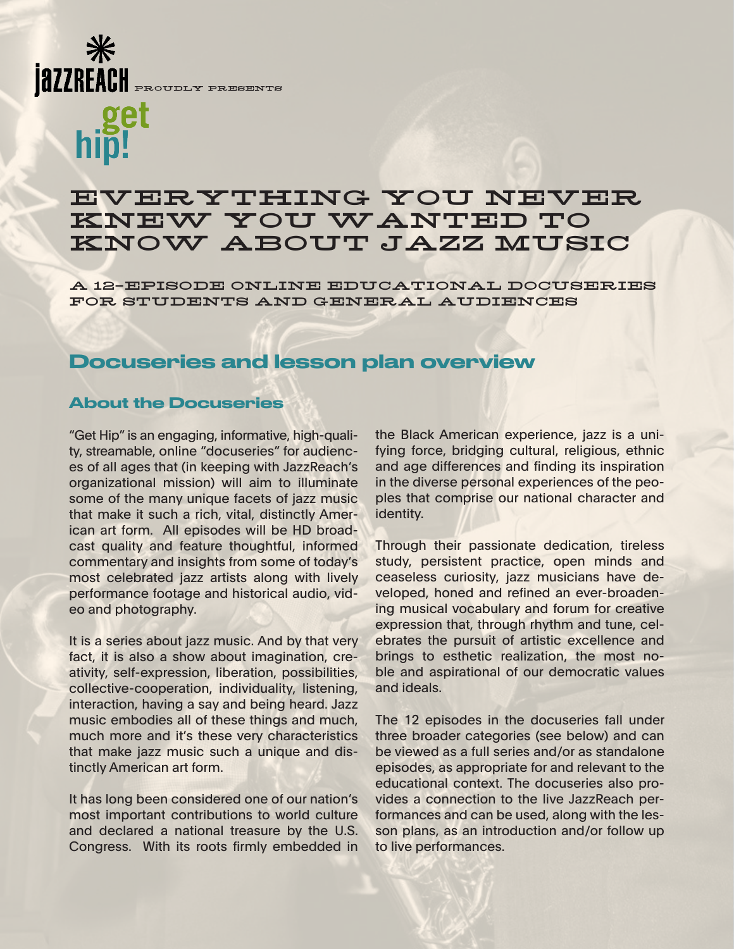#### PROUDLY PRESENTS

*QZZREACH* 

# EVERYTHING YOU NEVER KNEW YOU WANTED TO KNOW ABOUT JAZZ MUSIC

A 12-EPISODE ONLINE EDUCATIONAL DOCUSERIES FOR STUDENTS AND GENERAL AUDIENCES

## Docuseries and lesson plan overview

### About the Docuseries

"Get Hip" is an engaging, informative, high-quality, streamable, online "docuseries" for audiences of all ages that (in keeping with JazzReach's organizational mission) will aim to illuminate some of the many unique facets of jazz music that make it such a rich, vital, distinctly American art form. All episodes will be HD broadcast quality and feature thoughtful, informed commentary and insights from some of today's most celebrated jazz artists along with lively performance footage and historical audio, video and photography.

It is a series about jazz music. And by that very fact, it is also a show about imagination, creativity, self-expression, liberation, possibilities, collective-cooperation, individuality, listening, interaction, having a say and being heard. Jazz music embodies all of these things and much, much more and it's these very characteristics that make jazz music such a unique and distinctly American art form.

It has long been considered one of our nation's most important contributions to world culture and declared a national treasure by the U.S. Congress. With its roots firmly embedded in the Black American experience, jazz is a unifying force, bridging cultural, religious, ethnic and age differences and finding its inspiration in the diverse personal experiences of the peoples that comprise our national character and identity.

Through their passionate dedication, tireless study, persistent practice, open minds and ceaseless curiosity, jazz musicians have developed, honed and refined an ever-broadening musical vocabulary and forum for creative expression that, through rhythm and tune, celebrates the pursuit of artistic excellence and brings to esthetic realization, the most noble and aspirational of our democratic values and ideals.

The 12 episodes in the docuseries fall under three broader categories (see below) and can be viewed as a full series and/or as standalone episodes, as appropriate for and relevant to the educational context. The docuseries also provides a connection to the live JazzReach performances and can be used, along with the lesson plans, as an introduction and/or follow up to live performances.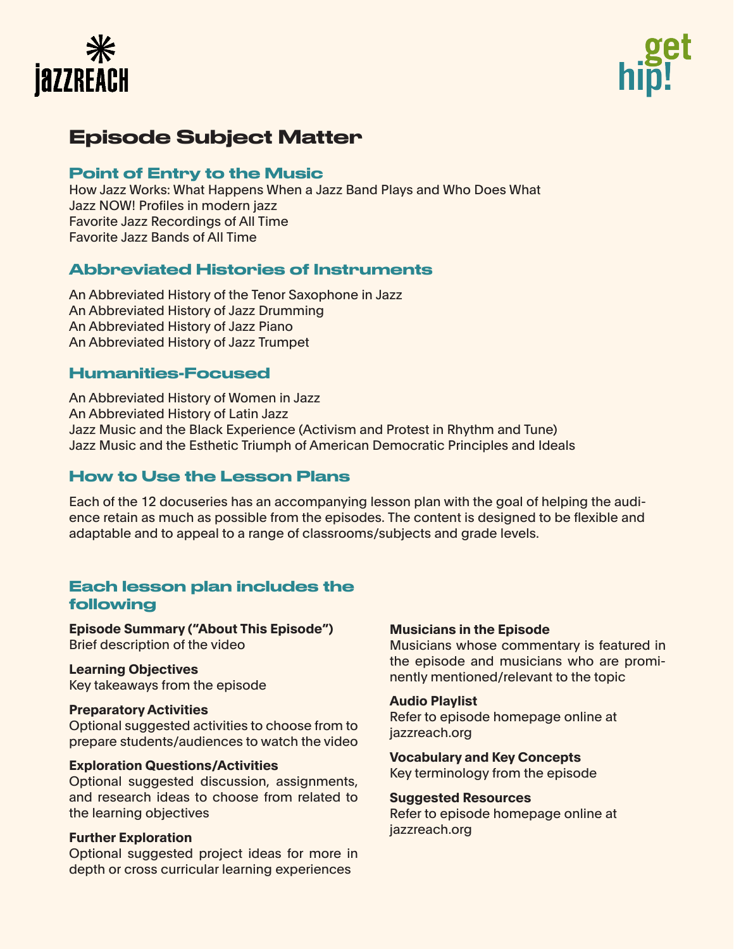



# Episode Subject Matter

## Point of Entry to the Music

How Jazz Works: What Happens When a Jazz Band Plays and Who Does What Jazz NOW! Profiles in modern jazz Favorite Jazz Recordings of All Time Favorite Jazz Bands of All Time

## Abbreviated Histories of Instruments

An Abbreviated History of the Tenor Saxophone in Jazz An Abbreviated History of Jazz Drumming An Abbreviated History of Jazz Piano An Abbreviated History of Jazz Trumpet

## Humanities-Focused

An Abbreviated History of Women in Jazz An Abbreviated History of Latin Jazz Jazz Music and the Black Experience (Activism and Protest in Rhythm and Tune) Jazz Music and the Esthetic Triumph of American Democratic Principles and Ideals

## How to Use the Lesson Plans

Each of the 12 docuseries has an accompanying lesson plan with the goal of helping the audience retain as much as possible from the episodes. The content is designed to be flexible and adaptable and to appeal to a range of classrooms/subjects and grade levels.

## Each lesson plan includes the following

**Episode Summary ("About This Episode")**  Brief description of the video

**Learning Objectives**  Key takeaways from the episode

#### **Preparatory Activities**

Optional suggested activities to choose from to prepare students/audiences to watch the video

#### **Exploration Questions/Activities**

Optional suggested discussion, assignments, and research ideas to choose from related to the learning objectives

#### **Further Exploration**

Optional suggested project ideas for more in depth or cross curricular learning experiences

#### **Musicians in the Episode**

Musicians whose commentary is featured in the episode and musicians who are prominently mentioned/relevant to the topic

#### **Audio Playlist**

Refer to episode homepage online at jazzreach.org

**Vocabulary and Key Concepts** Key terminology from the episode

#### **Suggested Resources**

Refer to episode homepage online at jazzreach.org